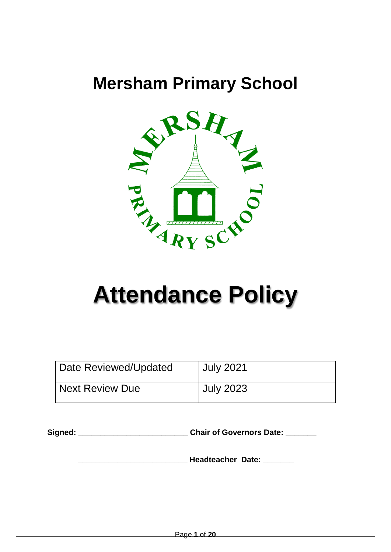# **Mersham Primary School**



# **Attendance Policy**

| Date Reviewed/Updated        | <b>July 2021</b> |
|------------------------------|------------------|
| <sup>1</sup> Next Review Due | <b>July 2023</b> |

**Signed: \_\_\_\_\_\_\_\_\_\_\_\_\_\_\_\_\_\_\_\_\_\_\_\_\_ Chair of Governors Date: \_\_\_\_\_\_\_**

 **\_\_\_\_\_\_\_\_\_\_\_\_\_\_\_\_\_\_\_\_\_\_\_\_\_ Headteacher Date: \_\_\_\_\_\_\_**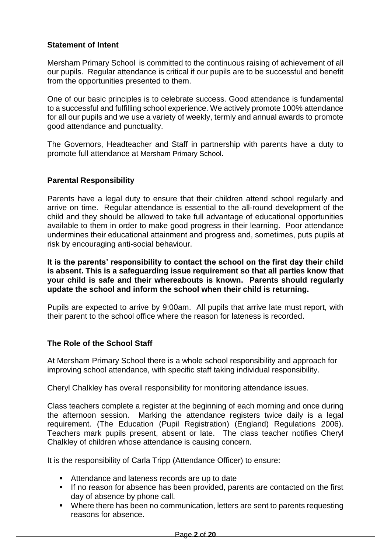#### **Statement of Intent**

Mersham Primary School is committed to the continuous raising of achievement of all our pupils. Regular attendance is critical if our pupils are to be successful and benefit from the opportunities presented to them.

One of our basic principles is to celebrate success. Good attendance is fundamental to a successful and fulfilling school experience. We actively promote 100% attendance for all our pupils and we use a variety of weekly, termly and annual awards to promote good attendance and punctuality.

The Governors, Headteacher and Staff in partnership with parents have a duty to promote full attendance at Mersham Primary School.

#### **Parental Responsibility**

Parents have a legal duty to ensure that their children attend school regularly and arrive on time. Regular attendance is essential to the all-round development of the child and they should be allowed to take full advantage of educational opportunities available to them in order to make good progress in their learning. Poor attendance undermines their educational attainment and progress and, sometimes, puts pupils at risk by encouraging anti-social behaviour.

**It is the parents' responsibility to contact the school on the first day their child is absent. This is a safeguarding issue requirement so that all parties know that your child is safe and their whereabouts is known. Parents should regularly update the school and inform the school when their child is returning.**

Pupils are expected to arrive by 9:00am. All pupils that arrive late must report, with their parent to the school office where the reason for lateness is recorded.

#### **The Role of the School Staff**

At Mersham Primary School there is a whole school responsibility and approach for improving school attendance, with specific staff taking individual responsibility.

Cheryl Chalkley has overall responsibility for monitoring attendance issues.

Class teachers complete a register at the beginning of each morning and once during the afternoon session. Marking the attendance registers twice daily is a legal requirement. (The Education (Pupil Registration) (England) Regulations 2006). Teachers mark pupils present, absent or late. The class teacher notifies Cheryl Chalkley of children whose attendance is causing concern.

It is the responsibility of Carla Tripp (Attendance Officer) to ensure:

- Attendance and lateness records are up to date
- If no reason for absence has been provided, parents are contacted on the first day of absence by phone call.
- Where there has been no communication, letters are sent to parents requesting reasons for absence.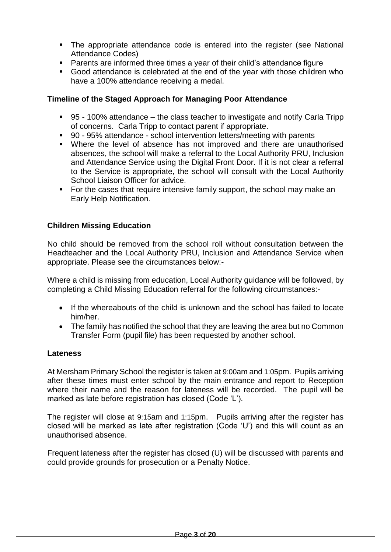- The appropriate attendance code is entered into the register (see National Attendance Codes)
- Parents are informed three times a year of their child's attendance figure
- Good attendance is celebrated at the end of the year with those children who have a 100% attendance receiving a medal.

#### **Timeline of the Staged Approach for Managing Poor Attendance**

- 95 100% attendance the class teacher to investigate and notify Carla Tripp of concerns. Carla Tripp to contact parent if appropriate.
- 90 95% attendance school intervention letters/meeting with parents
- Where the level of absence has not improved and there are unauthorised absences, the school will make a referral to the Local Authority PRU, Inclusion and Attendance Service using the Digital Front Door. If it is not clear a referral to the Service is appropriate, the school will consult with the Local Authority School Liaison Officer for advice.
- For the cases that require intensive family support, the school may make an Early Help Notification.

#### **Children Missing Education**

No child should be removed from the school roll without consultation between the Headteacher and the Local Authority PRU, Inclusion and Attendance Service when appropriate. Please see the circumstances below:-

Where a child is missing from education, Local Authority guidance will be followed, by completing a Child Missing Education referral for the following circumstances:-

- If the whereabouts of the child is unknown and the school has failed to locate him/her.
- The family has notified the school that they are leaving the area but no Common Transfer Form (pupil file) has been requested by another school.

#### **Lateness**

At Mersham Primary School the register is taken at 9:00am and 1:05pm. Pupils arriving after these times must enter school by the main entrance and report to Reception where their name and the reason for lateness will be recorded. The pupil will be marked as late before registration has closed (Code 'L').

The register will close at 9:15am and 1:15pm. Pupils arriving after the register has closed will be marked as late after registration (Code 'U') and this will count as an unauthorised absence.

Frequent lateness after the register has closed (U) will be discussed with parents and could provide grounds for prosecution or a Penalty Notice.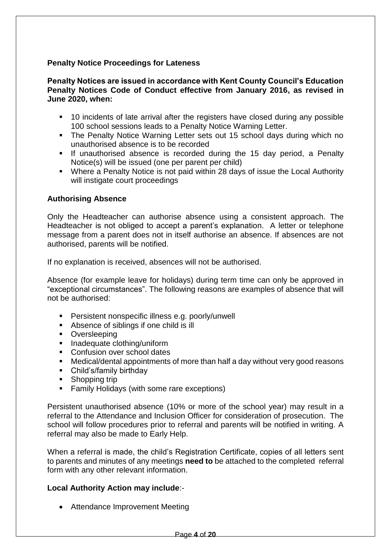#### **Penalty Notice Proceedings for Lateness**

#### **Penalty Notices are issued in accordance with Kent County Council's Education Penalty Notices Code of Conduct effective from January 2016, as revised in June 2020, when:**

- 10 incidents of late arrival after the registers have closed during any possible 100 school sessions leads to a Penalty Notice Warning Letter.
- The Penalty Notice Warning Letter sets out 15 school days during which no unauthorised absence is to be recorded
- **If unauthorised absence is recorded during the 15 day period, a Penalty** Notice(s) will be issued (one per parent per child)
- Where a Penalty Notice is not paid within 28 days of issue the Local Authority will instigate court proceedings

#### **Authorising Absence**

Only the Headteacher can authorise absence using a consistent approach. The Headteacher is not obliged to accept a parent's explanation. A letter or telephone message from a parent does not in itself authorise an absence. If absences are not authorised, parents will be notified.

If no explanation is received, absences will not be authorised.

Absence (for example leave for holidays) during term time can only be approved in "exceptional circumstances". The following reasons are examples of absence that will not be authorised:

- **Persistent nonspecific illness e.g. poorly/unwell**
- Absence of siblings if one child is ill
- **•** Oversleeping
- **Inadequate clothing/uniform**
- Confusion over school dates
- Medical/dental appointments of more than half a day without very good reasons
- Child's/family birthday
- Shopping trip
- Family Holidays (with some rare exceptions)

Persistent unauthorised absence (10% or more of the school year) may result in a referral to the Attendance and Inclusion Officer for consideration of prosecution. The school will follow procedures prior to referral and parents will be notified in writing. A referral may also be made to Early Help.

When a referral is made, the child's Registration Certificate, copies of all letters sent to parents and minutes of any meetings **need to** be attached to the completed referral form with any other relevant information.

#### **Local Authority Action may include**:-

• Attendance Improvement Meeting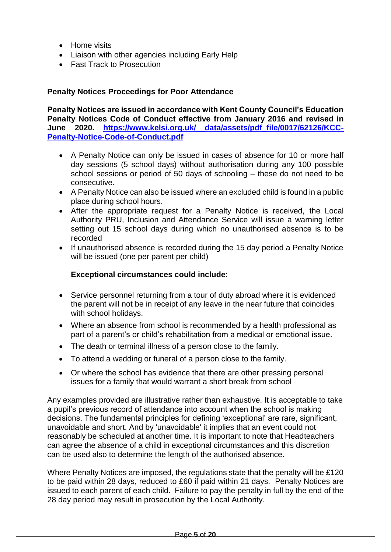- Home visits
- Liaison with other agencies including Early Help
- Fast Track to Prosecution

#### **Penalty Notices Proceedings for Poor Attendance**

**Penalty Notices are issued in accordance with Kent County Council's Education Penalty Notices Code of Conduct effective from January 2016 and revised in June 2020. [https://www.kelsi.org.uk/\\_\\_data/assets/pdf\\_file/0017/62126/KCC-](https://www.kelsi.org.uk/__data/assets/pdf_file/0017/62126/KCC-Penalty-Notice-Code-of-Conduct.pdf)[Penalty-Notice-Code-of-Conduct.pdf](https://www.kelsi.org.uk/__data/assets/pdf_file/0017/62126/KCC-Penalty-Notice-Code-of-Conduct.pdf)**

- A Penalty Notice can only be issued in cases of absence for 10 or more half day sessions (5 school days) without authorisation during any 100 possible school sessions or period of 50 days of schooling – these do not need to be consecutive.
- A Penalty Notice can also be issued where an excluded child is found in a public place during school hours.
- After the appropriate request for a Penalty Notice is received, the Local Authority PRU, Inclusion and Attendance Service will issue a warning letter setting out 15 school days during which no unauthorised absence is to be recorded
- If unauthorised absence is recorded during the 15 day period a Penalty Notice will be issued (one per parent per child)

#### **Exceptional circumstances could include**:

- Service personnel returning from a tour of duty abroad where it is evidenced the parent will not be in receipt of any leave in the near future that coincides with school holidays.
- Where an absence from school is recommended by a health professional as part of a parent's or child's rehabilitation from a medical or emotional issue.
- The death or terminal illness of a person close to the family.
- To attend a wedding or funeral of a person close to the family.
- Or where the school has evidence that there are other pressing personal issues for a family that would warrant a short break from school

Any examples provided are illustrative rather than exhaustive. It is acceptable to take a pupil's previous record of attendance into account when the school is making decisions. The fundamental principles for defining 'exceptional' are rare, significant, unavoidable and short. And by 'unavoidable' it implies that an event could not reasonably be scheduled at another time. It is important to note that Headteachers can agree the absence of a child in exceptional circumstances and this discretion can be used also to determine the length of the authorised absence.

Where Penalty Notices are imposed, the regulations state that the penalty will be £120 to be paid within 28 days, reduced to £60 if paid within 21 days. Penalty Notices are issued to each parent of each child. Failure to pay the penalty in full by the end of the 28 day period may result in prosecution by the Local Authority.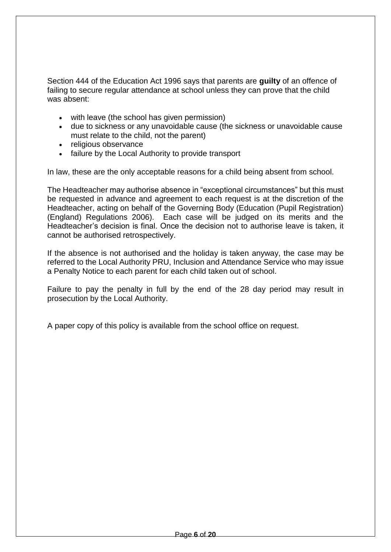Section 444 of the Education Act 1996 says that parents are **guilty** of an offence of failing to secure regular attendance at school unless they can prove that the child was absent:

- with leave (the school has given permission)
- due to sickness or any unavoidable cause (the sickness or unavoidable cause must relate to the child, not the parent)
- religious observance
- failure by the Local Authority to provide transport

In law, these are the only acceptable reasons for a child being absent from school.

The Headteacher may authorise absence in "exceptional circumstances" but this must be requested in advance and agreement to each request is at the discretion of the Headteacher, acting on behalf of the Governing Body (Education (Pupil Registration) (England) Regulations 2006). Each case will be judged on its merits and the Headteacher's decision is final. Once the decision not to authorise leave is taken, it cannot be authorised retrospectively.

If the absence is not authorised and the holiday is taken anyway, the case may be referred to the Local Authority PRU, Inclusion and Attendance Service who may issue a Penalty Notice to each parent for each child taken out of school.

Failure to pay the penalty in full by the end of the 28 day period may result in prosecution by the Local Authority.

A paper copy of this policy is available from the school office on request.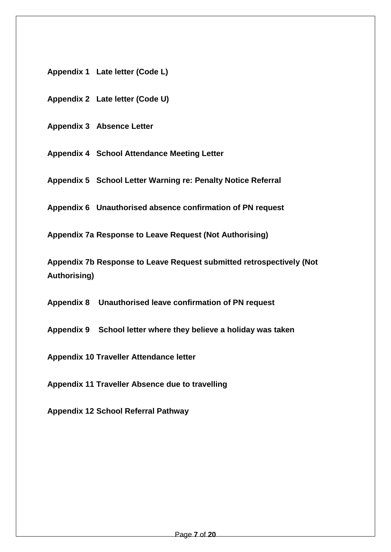**Appendix 1 Late letter (Code L)**

**Appendix 2 Late letter (Code U)**

**Appendix 3 Absence Letter**

**Appendix 4 School Attendance Meeting Letter**

**Appendix 5 School Letter Warning re: Penalty Notice Referral**

**Appendix 6 Unauthorised absence confirmation of PN request**

**Appendix 7a Response to Leave Request (Not Authorising)** 

**Appendix 7b Response to Leave Request submitted retrospectively (Not Authorising)**

**Appendix 8 Unauthorised leave confirmation of PN request**

**Appendix 9 School letter where they believe a holiday was taken**

**Appendix 10 Traveller Attendance letter**

**Appendix 11 Traveller Absence due to travelling**

**Appendix 12 School Referral Pathway**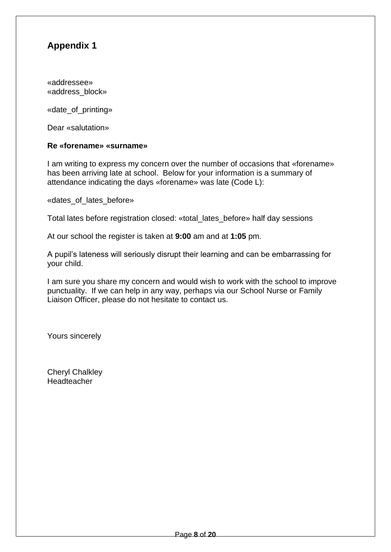«addressee» «address\_block»

«date\_of\_printing»

Dear «salutation»

#### **Re «forename» «surname»**

I am writing to express my concern over the number of occasions that «forename» has been arriving late at school. Below for your information is a summary of attendance indicating the days «forename» was late (Code L):

«dates\_of\_lates\_before»

Total lates before registration closed: «total\_lates\_before» half day sessions

At our school the register is taken at **9:00** am and at **1:05** pm.

A pupil's lateness will seriously disrupt their learning and can be embarrassing for your child.

I am sure you share my concern and would wish to work with the school to improve punctuality. If we can help in any way, perhaps via our School Nurse or Family Liaison Officer, please do not hesitate to contact us.

Yours sincerely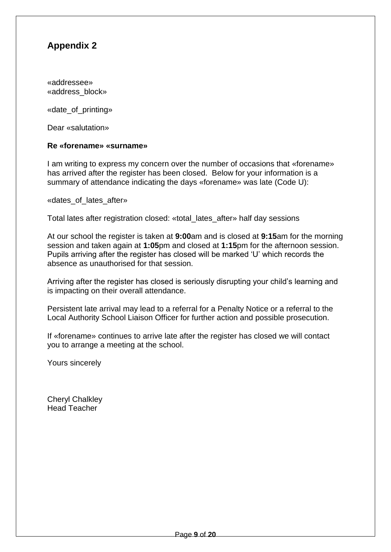«addressee» «address\_block»

«date\_of\_printing»

Dear «salutation»

#### **Re «forename» «surname»**

I am writing to express my concern over the number of occasions that «forename» has arrived after the register has been closed. Below for your information is a summary of attendance indicating the days «forename» was late (Code U):

«dates of lates after»

Total lates after registration closed: «total\_lates\_after» half day sessions

At our school the register is taken at **9:00**am and is closed at **9:15**am for the morning session and taken again at **1:05**pm and closed at **1:15**pm for the afternoon session. Pupils arriving after the register has closed will be marked 'U' which records the absence as unauthorised for that session.

Arriving after the register has closed is seriously disrupting your child's learning and is impacting on their overall attendance.

Persistent late arrival may lead to a referral for a Penalty Notice or a referral to the Local Authority School Liaison Officer for further action and possible prosecution.

If «forename» continues to arrive late after the register has closed we will contact you to arrange a meeting at the school.

Yours sincerely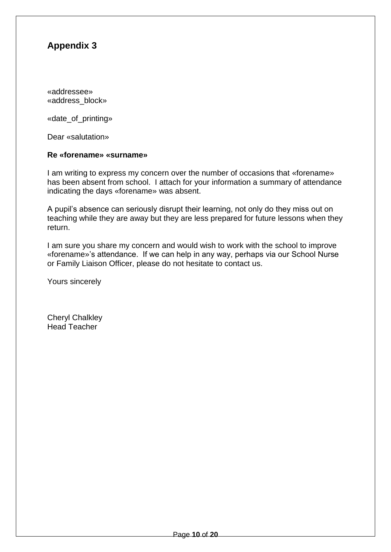«addressee» «address\_block»

«date\_of\_printing»

Dear «salutation»

#### **Re «forename» «surname»**

I am writing to express my concern over the number of occasions that «forename» has been absent from school. I attach for your information a summary of attendance indicating the days «forename» was absent.

A pupil's absence can seriously disrupt their learning, not only do they miss out on teaching while they are away but they are less prepared for future lessons when they return.

I am sure you share my concern and would wish to work with the school to improve «forename»'s attendance. If we can help in any way, perhaps via our School Nurse or Family Liaison Officer, please do not hesitate to contact us.

Yours sincerely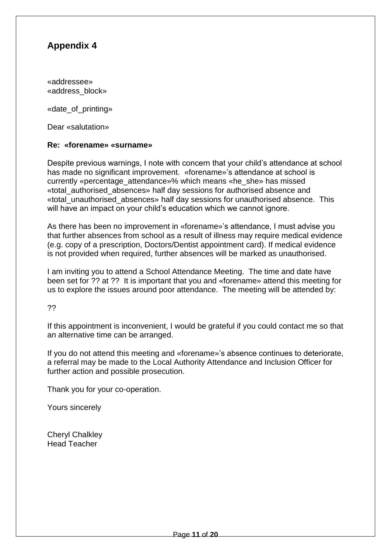«addressee» «address\_block»

«date\_of\_printing»

Dear «salutation»

#### **Re: «forename» «surname»**

Despite previous warnings, I note with concern that your child's attendance at school has made no significant improvement. «forename»'s attendance at school is currently «percentage attendance»% which means «he she» has missed «total\_authorised\_absences» half day sessions for authorised absence and «total\_unauthorised\_absences» half day sessions for unauthorised absence. This will have an impact on your child's education which we cannot ignore.

As there has been no improvement in «forename»'s attendance, I must advise you that further absences from school as a result of illness may require medical evidence (e.g. copy of a prescription, Doctors/Dentist appointment card). If medical evidence is not provided when required, further absences will be marked as unauthorised.

I am inviting you to attend a School Attendance Meeting. The time and date have been set for ?? at ?? It is important that you and «forename» attend this meeting for us to explore the issues around poor attendance. The meeting will be attended by:

??

If this appointment is inconvenient, I would be grateful if you could contact me so that an alternative time can be arranged.

If you do not attend this meeting and «forename»'s absence continues to deteriorate, a referral may be made to the Local Authority Attendance and Inclusion Officer for further action and possible prosecution.

Thank you for your co-operation.

Yours sincerely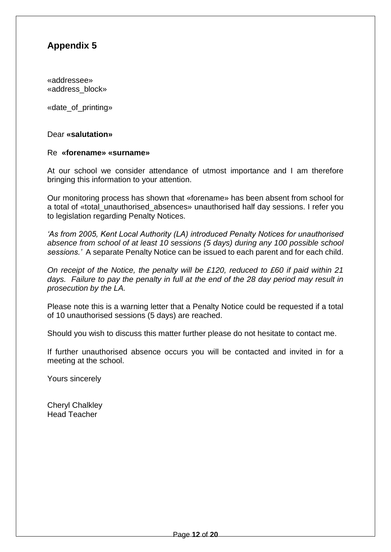«addressee» «address\_block»

«date\_of\_printing»

#### Dear **«salutation»**

#### Re **«forename» «surname»**

At our school we consider attendance of utmost importance and I am therefore bringing this information to your attention.

Our monitoring process has shown that «forename» has been absent from school for a total of «total unauthorised absences» unauthorised half day sessions. I refer you to legislation regarding Penalty Notices.

*'As from 2005, Kent Local Authority (LA) introduced Penalty Notices for unauthorised absence from school of at least 10 sessions (5 days) during any 100 possible school sessions.'* A separate Penalty Notice can be issued to each parent and for each child.

*On receipt of the Notice, the penalty will be £120, reduced to £60 if paid within 21 days. Failure to pay the penalty in full at the end of the 28 day period may result in prosecution by the LA.*

Please note this is a warning letter that a Penalty Notice could be requested if a total of 10 unauthorised sessions (5 days) are reached.

Should you wish to discuss this matter further please do not hesitate to contact me.

If further unauthorised absence occurs you will be contacted and invited in for a meeting at the school.

Yours sincerely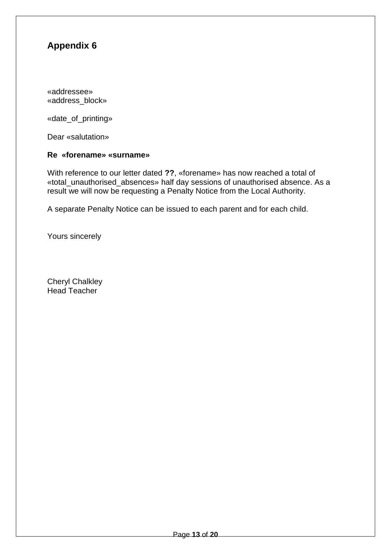«addressee» «address\_block»

«date\_of\_printing»

Dear «salutation»

#### **Re «forename» «surname»**

With reference to our letter dated **??**, «forename» has now reached a total of «total\_unauthorised\_absences» half day sessions of unauthorised absence. As a result we will now be requesting a Penalty Notice from the Local Authority.

A separate Penalty Notice can be issued to each parent and for each child.

Yours sincerely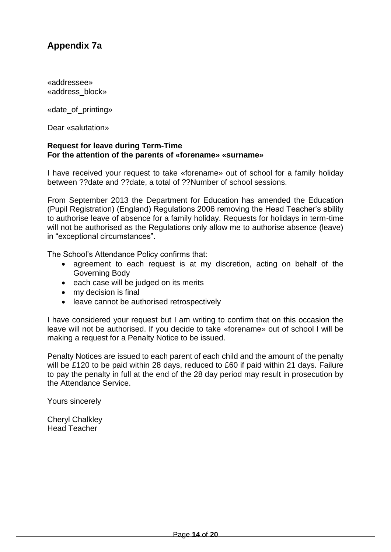# **Appendix 7a**

«addressee» «address\_block»

«date\_of\_printing»

Dear «salutation»

#### **Request for leave during Term-Time For the attention of the parents of «forename» «surname»**

I have received your request to take «forename» out of school for a family holiday between ??date and ??date, a total of ??Number of school sessions.

From September 2013 the Department for Education has amended the Education (Pupil Registration) (England) Regulations 2006 removing the Head Teacher's ability to authorise leave of absence for a family holiday. Requests for holidays in term-time will not be authorised as the Regulations only allow me to authorise absence (leave) in "exceptional circumstances".

The School's Attendance Policy confirms that:

- agreement to each request is at my discretion, acting on behalf of the Governing Body
- each case will be judged on its merits
- my decision is final
- leave cannot be authorised retrospectively

I have considered your request but I am writing to confirm that on this occasion the leave will not be authorised. If you decide to take «forename» out of school I will be making a request for a Penalty Notice to be issued.

Penalty Notices are issued to each parent of each child and the amount of the penalty will be £120 to be paid within 28 days, reduced to £60 if paid within 21 days. Failure to pay the penalty in full at the end of the 28 day period may result in prosecution by the Attendance Service.

Yours sincerely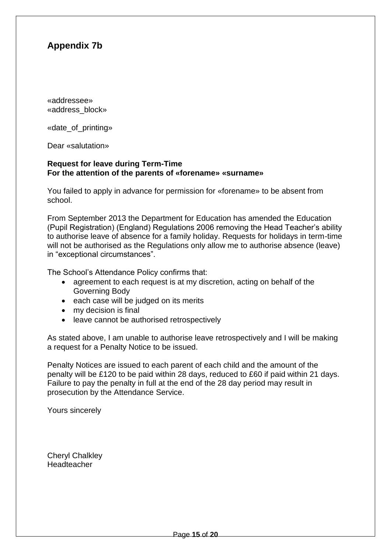# **Appendix 7b**

«addressee» «address\_block»

«date\_of\_printing»

Dear «salutation»

#### **Request for leave during Term-Time For the attention of the parents of «forename» «surname»**

You failed to apply in advance for permission for «forename» to be absent from school.

From September 2013 the Department for Education has amended the Education (Pupil Registration) (England) Regulations 2006 removing the Head Teacher's ability to authorise leave of absence for a family holiday. Requests for holidays in term-time will not be authorised as the Regulations only allow me to authorise absence (leave) in "exceptional circumstances".

The School's Attendance Policy confirms that:

- agreement to each request is at my discretion, acting on behalf of the Governing Body
- each case will be judged on its merits
- my decision is final
- leave cannot be authorised retrospectively

As stated above, I am unable to authorise leave retrospectively and I will be making a request for a Penalty Notice to be issued.

Penalty Notices are issued to each parent of each child and the amount of the penalty will be £120 to be paid within 28 days, reduced to £60 if paid within 21 days. Failure to pay the penalty in full at the end of the 28 day period may result in prosecution by the Attendance Service.

Yours sincerely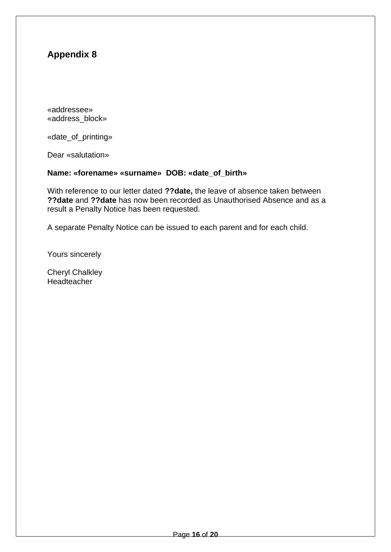«addressee» «address\_block»

«date\_of\_printing»

Dear «salutation»

#### **Name: «forename» «surname» DOB: «date\_of\_birth»**

With reference to our letter dated **??date,** the leave of absence taken between **??date** and **??date** has now been recorded as Unauthorised Absence and as a result a Penalty Notice has been requested.

A separate Penalty Notice can be issued to each parent and for each child.

Yours sincerely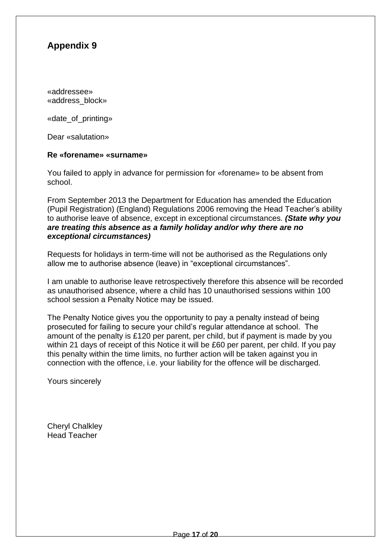«addressee» «address\_block»

«date\_of\_printing»

Dear «salutation»

#### **Re «forename» «surname»**

You failed to apply in advance for permission for «forename» to be absent from school.

From September 2013 the Department for Education has amended the Education (Pupil Registration) (England) Regulations 2006 removing the Head Teacher's ability to authorise leave of absence, except in exceptional circumstances. *(State why you are treating this absence as a family holiday and/or why there are no exceptional circumstances)*

Requests for holidays in term-time will not be authorised as the Regulations only allow me to authorise absence (leave) in "exceptional circumstances".

I am unable to authorise leave retrospectively therefore this absence will be recorded as unauthorised absence, where a child has 10 unauthorised sessions within 100 school session a Penalty Notice may be issued.

The Penalty Notice gives you the opportunity to pay a penalty instead of being prosecuted for failing to secure your child's regular attendance at school. The amount of the penalty is £120 per parent, per child, but if payment is made by you within 21 days of receipt of this Notice it will be £60 per parent, per child. If you pay this penalty within the time limits, no further action will be taken against you in connection with the offence, i.e. your liability for the offence will be discharged.

Yours sincerely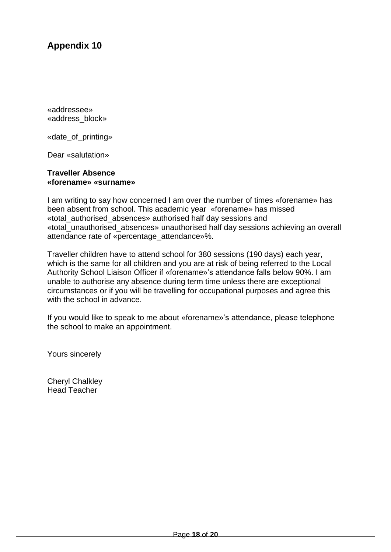«addressee» «address\_block»

«date\_of\_printing»

Dear «salutation»

#### **Traveller Absence «forename» «surname»**

I am writing to say how concerned I am over the number of times «forename» has been absent from school. This academic year «forename» has missed «total\_authorised\_absences» authorised half day sessions and «total\_unauthorised\_absences» unauthorised half day sessions achieving an overall attendance rate of «percentage\_attendance»%.

Traveller children have to attend school for 380 sessions (190 days) each year, which is the same for all children and you are at risk of being referred to the Local Authority School Liaison Officer if «forename»'s attendance falls below 90%. I am unable to authorise any absence during term time unless there are exceptional circumstances or if you will be travelling for occupational purposes and agree this with the school in advance.

If you would like to speak to me about «forename»'s attendance, please telephone the school to make an appointment.

Yours sincerely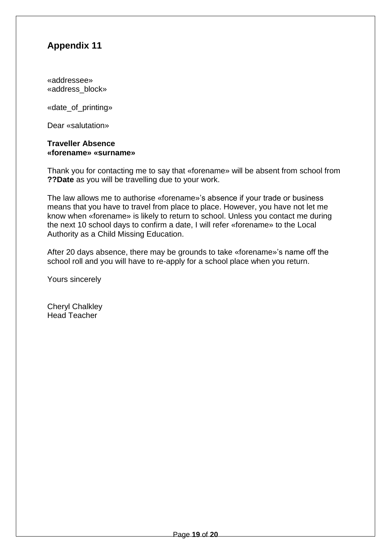«addressee» «address\_block»

«date\_of\_printing»

Dear «salutation»

#### **Traveller Absence «forename» «surname»**

Thank you for contacting me to say that «forename» will be absent from school from **??Date** as you will be travelling due to your work.

The law allows me to authorise «forename»'s absence if your trade or business means that you have to travel from place to place. However, you have not let me know when «forename» is likely to return to school. Unless you contact me during the next 10 school days to confirm a date, I will refer «forename» to the Local Authority as a Child Missing Education.

After 20 days absence, there may be grounds to take «forename»'s name off the school roll and you will have to re-apply for a school place when you return.

Yours sincerely